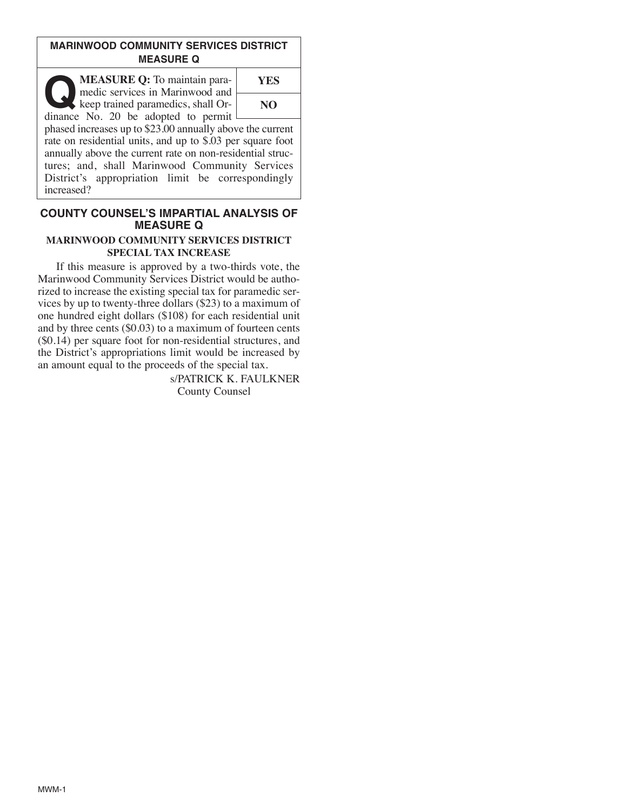## **MARINWOOD COMMUNITY SERVICES DISTRICT MEASURE Q**

**Q MEASURE Q:** To maintain para-<br>
head is services in Marinwood and<br>
keep trained paramedics, shall Or-<br>
dinance No. 20 be adopted to permit medic services in Marinwood and dinance No. 20 be adopted to permit

**YES NO**

phased increases up to \$23.00 annually above the current rate on residential units, and up to \$.03 per square foot annually above the current rate on non-residential structures; and, shall Marinwood Community Services District's appropriation limit be correspondingly increased?

## **COUNTY COUNSEL'S IMPARTIAL ANALYSIS OF MEASURE Q**

#### **MARINWOOD COMMUNITY SERVICES DISTRICT SPECIAL TAX INCREASE**

If this measure is approved by a two-thirds vote, the Marinwood Community Services District would be authorized to increase the existing special tax for paramedic services by up to twenty-three dollars (\$23) to a maximum of one hundred eight dollars (\$108) for each residential unit and by three cents (\$0.03) to a maximum of fourteen cents (\$0.14) per square foot for non-residential structures, and the District's appropriations limit would be increased by an amount equal to the proceeds of the special tax.

> s/PATRICK K. FAULKNER County Counsel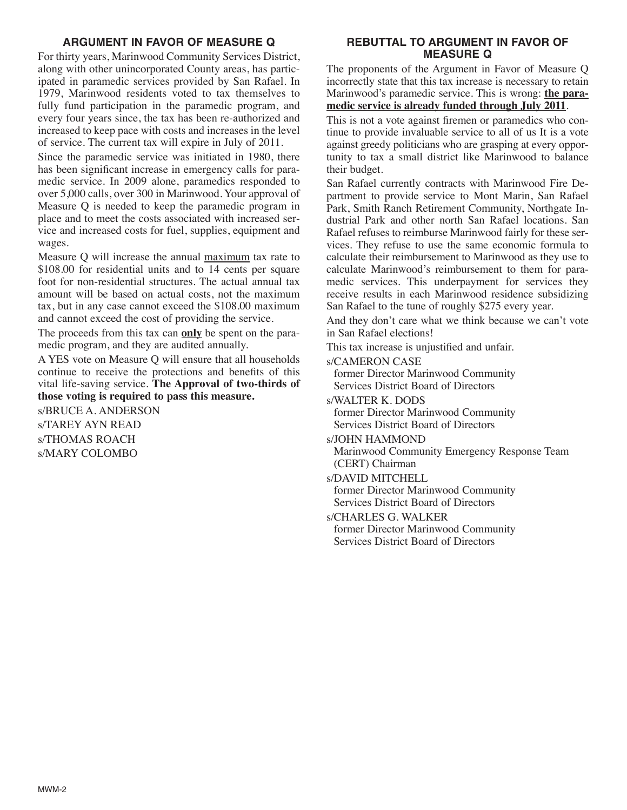# **ARGUMENT IN FAVOR OF MEASURE Q**

For thirty years, Marinwood Community Services District, along with other unincorporated County areas, has participated in paramedic services provided by San Rafael. In 1979, Marinwood residents voted to tax themselves to fully fund participation in the paramedic program, and every four years since, the tax has been re-authorized and increased to keep pace with costs and increases in the level of service. The current tax will expire in July of 2011.

Since the paramedic service was initiated in 1980, there has been significant increase in emergency calls for paramedic service. In 2009 alone, paramedics responded to over 5,000 calls, over 300 in Marinwood. Your approval of Measure Q is needed to keep the paramedic program in place and to meet the costs associated with increased service and increased costs for fuel, supplies, equipment and wages.

Measure Q will increase the annual maximum tax rate to \$108.00 for residential units and to 14 cents per square foot for non-residential structures. The actual annual tax amount will be based on actual costs, not the maximum tax, but in any case cannot exceed the \$108.00 maximum and cannot exceed the cost of providing the service.

The proceeds from this tax can **only** be spent on the paramedic program, and they are audited annually.

A YES vote on Measure Q will ensure that all households continue to receive the protections and benefits of this vital life-saving service. **The Approval of two-thirds of those voting is required to pass this measure.**

s/BRUCE A. ANDERSON s/TAREY AYN READ s/THOMAS ROACH s/MARY COLOMBO

### **REBUTTAL TO ARGUMENT IN FAVOR OF MEASURE Q**

The proponents of the Argument in Favor of Measure Q incorrectly state that this tax increase is necessary to retain Marinwood's paramedic service. This is wrong: **the paramedic service is already funded through July 2011**.

This is not a vote against firemen or paramedics who continue to provide invaluable service to all of us It is a vote against greedy politicians who are grasping at every opportunity to tax a small district like Marinwood to balance their budget.

San Rafael currently contracts with Marinwood Fire Department to provide service to Mont Marin, San Rafael Park, Smith Ranch Retirement Community, Northgate Industrial Park and other north San Rafael locations. San Rafael refuses to reimburse Marinwood fairly for these services. They refuse to use the same economic formula to calculate their reimbursement to Marinwood as they use to calculate Marinwood's reimbursement to them for paramedic services. This underpayment for services they receive results in each Marinwood residence subsidizing San Rafael to the tune of roughly \$275 every year.

And they don't care what we think because we can't vote in San Rafael elections!

This tax increase is unjustified and unfair.

s/CAMERON CASE

former Director Marinwood Community Services District Board of Directors

- s/WALTER K. DODS former Director Marinwood Community Services District Board of Directors
- s/JOHN HAMMOND

Marinwood Community Emergency Response Team (CERT) Chairman

s/DAVID MITCHELL

former Director Marinwood Community Services District Board of Directors

s/CHARLES G. WALKER former Director Marinwood Community Services District Board of Directors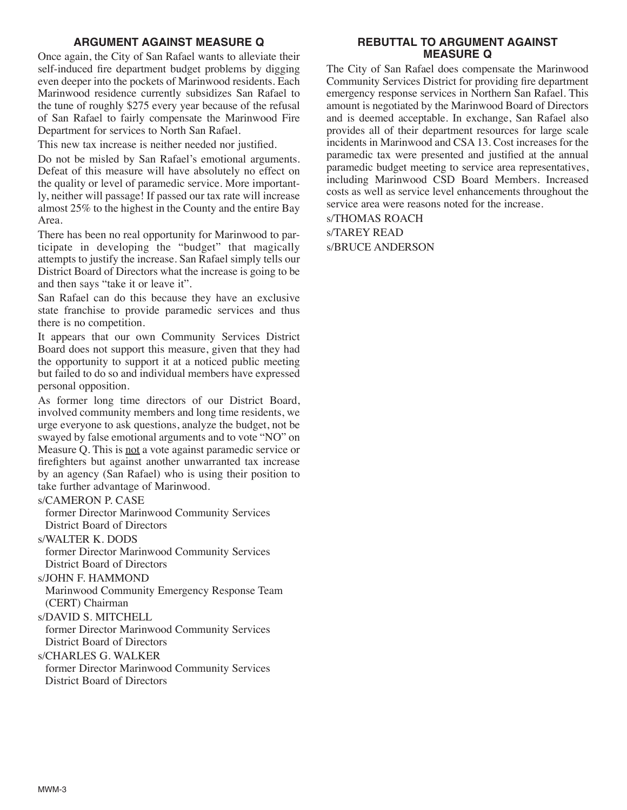# **ARGUMENT AGAINST MEASURE Q**

Once again, the City of San Rafael wants to alleviate their self-induced fire department budget problems by digging even deeper into the pockets of Marinwood residents. Each Marinwood residence currently subsidizes San Rafael to the tune of roughly \$275 every year because of the refusal of San Rafael to fairly compensate the Marinwood Fire Department for services to North San Rafael.

This new tax increase is neither needed nor justified.

Do not be misled by San Rafael's emotional arguments. Defeat of this measure will have absolutely no effect on the quality or level of paramedic service. More importantly, neither will passage! If passed our tax rate will increase almost 25% to the highest in the County and the entire Bay Area.

There has been no real opportunity for Marinwood to participate in developing the "budget" that magically attempts to justify the increase. San Rafael simply tells our District Board of Directors what the increase is going to be and then says "take it or leave it".

San Rafael can do this because they have an exclusive state franchise to provide paramedic services and thus there is no competition.

It appears that our own Community Services District Board does not support this measure, given that they had the opportunity to support it at a noticed public meeting but failed to do so and individual members have expressed personal opposition.

As former long time directors of our District Board, involved community members and long time residents, we urge everyone to ask questions, analyze the budget, not be swayed by false emotional arguments and to vote "NO" on Measure Q. This is not a vote against paramedic service or firefighters but against another unwarranted tax increase by an agency (San Rafael) who is using their position to take further advantage of Marinwood.

s/CAMERON P. CASE

former Director Marinwood Community Services District Board of Directors

s/WALTER K. DODS

former Director Marinwood Community Services District Board of Directors

s/JOHN F. HAMMOND

Marinwood Community Emergency Response Team (CERT) Chairman

s/DAVID S. MITCHELL

former Director Marinwood Community Services District Board of Directors

s/CHARLES G. WALKER

former Director Marinwood Community Services District Board of Directors

#### **REBUTTAL TO ARGUMENT AGAINST MEASURE Q**

The City of San Rafael does compensate the Marinwood Community Services District for providing fire department emergency response services in Northern San Rafael. This amount is negotiated by the Marinwood Board of Directors and is deemed acceptable. In exchange, San Rafael also provides all of their department resources for large scale incidents in Marinwood and CSA 13. Cost increases for the paramedic tax were presented and justified at the annual paramedic budget meeting to service area representatives, including Marinwood CSD Board Members. Increased costs as well as service level enhancements throughout the service area were reasons noted for the increase.

s/THOMAS ROACH s/TAREY READ s/BRUCE ANDERSON